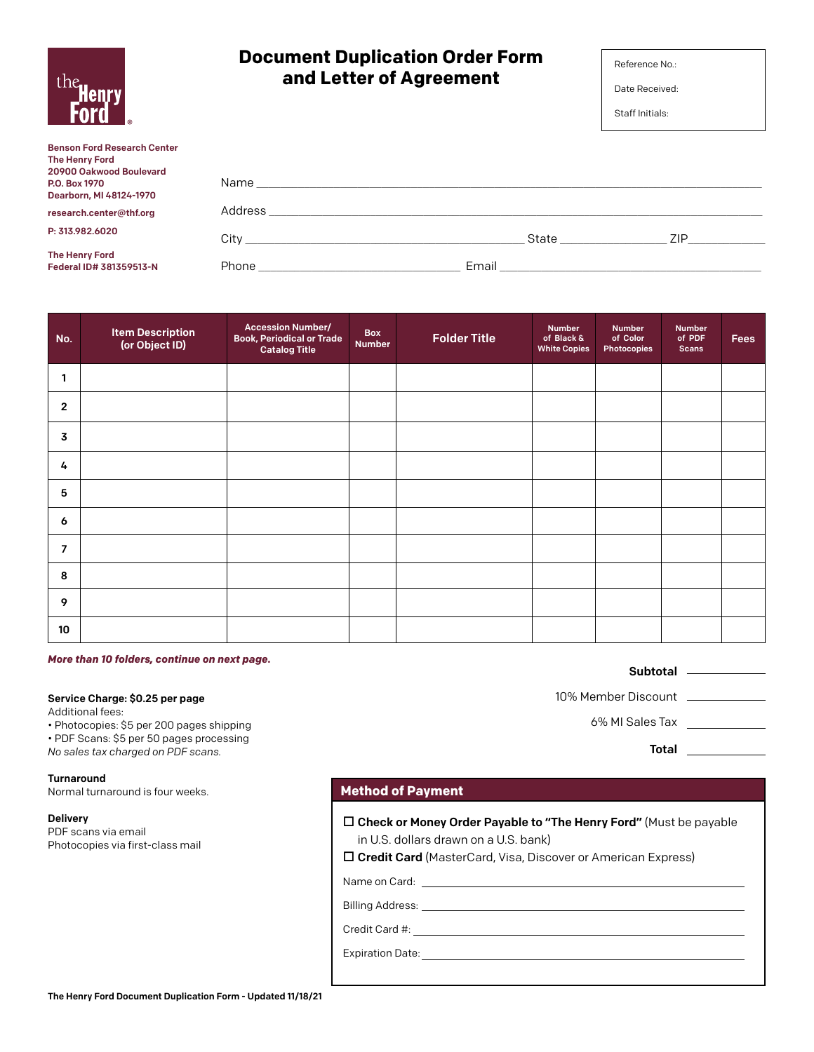| the Henry                                                                                                                          | and Letter of Agreement |  |       | Date Received:<br>Staff Initials: |     |  |
|------------------------------------------------------------------------------------------------------------------------------------|-------------------------|--|-------|-----------------------------------|-----|--|
| <b>Benson Ford Research Center</b><br><b>The Henry Ford</b><br>20900 Oakwood Boulevard<br>P.O. Box 1970<br>Dearborn, MI 48124-1970 |                         |  |       |                                   |     |  |
| research.center@thf.org                                                                                                            |                         |  |       |                                   |     |  |
| P: 313.982.6020                                                                                                                    |                         |  | State |                                   | ZIP |  |
| <b>The Henry Ford</b><br>Federal ID# 381359513-N                                                                                   |                         |  |       |                                   |     |  |

**Document Duplication Order Form** 

| No.                 | <b>Item Description</b><br>(or Object ID) | <b>Accession Number/</b><br><b>Book, Periodical or Trade</b><br><b>Catalog Title</b> | Box<br><b>Number</b> | <b>Folder Title</b> | <b>Number</b><br>of Black &<br><b>White Copies</b> | <b>Number</b><br>of Color<br><b>Photocopies</b> | <b>Number</b><br>of PDF<br><b>Scans</b> | <b>Fees</b> |
|---------------------|-------------------------------------------|--------------------------------------------------------------------------------------|----------------------|---------------------|----------------------------------------------------|-------------------------------------------------|-----------------------------------------|-------------|
| 1                   |                                           |                                                                                      |                      |                     |                                                    |                                                 |                                         |             |
| $\overline{2}$      |                                           |                                                                                      |                      |                     |                                                    |                                                 |                                         |             |
| 3                   |                                           |                                                                                      |                      |                     |                                                    |                                                 |                                         |             |
| 4                   |                                           |                                                                                      |                      |                     |                                                    |                                                 |                                         |             |
| 5                   |                                           |                                                                                      |                      |                     |                                                    |                                                 |                                         |             |
| $\ddot{\mathbf{6}}$ |                                           |                                                                                      |                      |                     |                                                    |                                                 |                                         |             |
| $\overline{7}$      |                                           |                                                                                      |                      |                     |                                                    |                                                 |                                         |             |
| 8                   |                                           |                                                                                      |                      |                     |                                                    |                                                 |                                         |             |
| 9                   |                                           |                                                                                      |                      |                     |                                                    |                                                 |                                         |             |
| 10 <sup>°</sup>     |                                           |                                                                                      |                      |                     |                                                    |                                                 |                                         |             |

*More than 10 folders, continue on next page.*

#### Service Charge: \$0.25 per page

Additional fees:

• Photocopies: \$5 per 200 pages shipping

• PDF Scans: \$5 per 50 pages processing

*No sales tax charged on PDF scans.*

#### Turnaround

Normal turnaround is four weeks.

Delivery

PDF scans via email Photocopies via first-class mail

### **Method of Payment**

 $\square$  Check or Money Order Payable to "The Henry Ford" (Must be payable in U.S. dollars drawn on a U.S. bank)

 $\square$  Credit Card (MasterCard, Visa, Discover or American Express)

Name on Card:

Billing Address:

Credit Card #:

Expiration Date:

#### Subtotal \_\_\_\_\_\_\_\_\_\_\_

10% Member Discount

6% MI Sales Tax

Total \_\_\_\_\_\_\_\_\_\_\_\_

| the.<br><b>Henry</b><br>Ford |
|------------------------------|
|------------------------------|

Reference No.: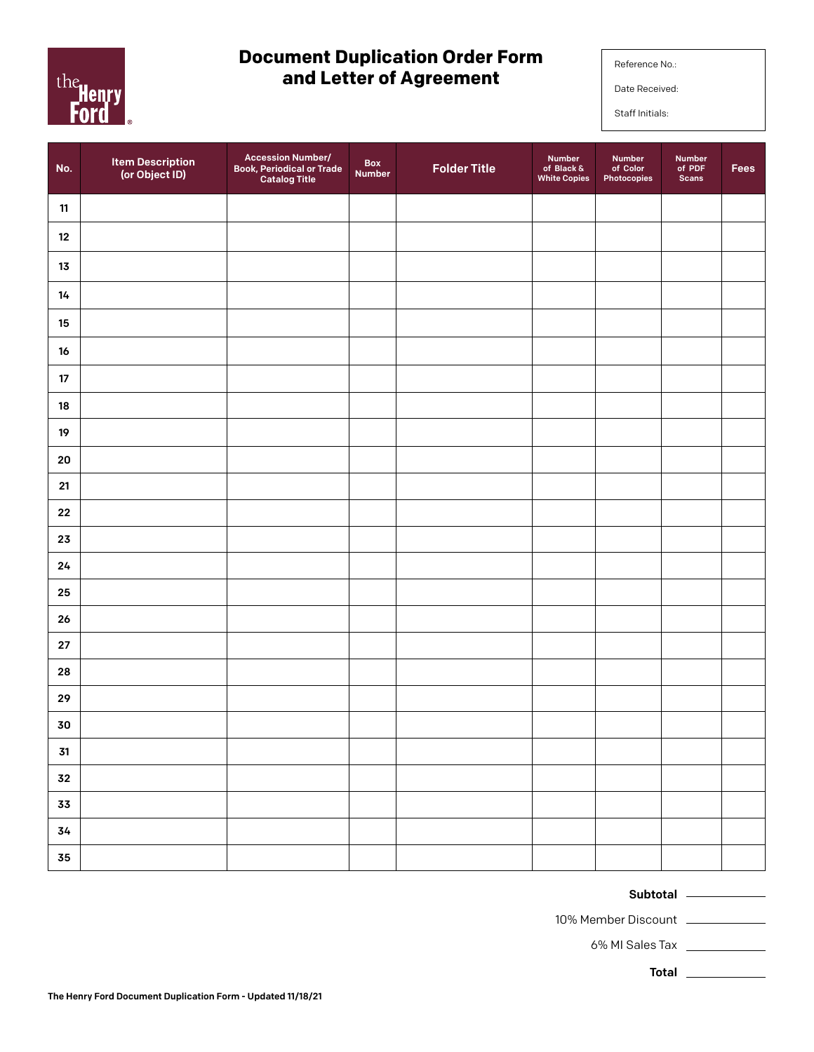

# **Document Duplication Order Form and Letter of Agreement**

Reference No.:

Date Received:

Staff Initials:

| No.        | <b>Item Description</b><br>(or Object ID) | <b>Accession Number/</b><br><b>Book, Periodical or Trade</b><br><b>Catalog Title</b> | <b>Box</b><br>Number | <b>Folder Title</b> | <b>Number</b><br>of Black &<br><b>White Copies</b> | Number<br>of Color<br>Photocopies | <b>Number</b><br>of $PDF$<br><b>Scans</b> | Fees |
|------------|-------------------------------------------|--------------------------------------------------------------------------------------|----------------------|---------------------|----------------------------------------------------|-----------------------------------|-------------------------------------------|------|
| 11         |                                           |                                                                                      |                      |                     |                                                    |                                   |                                           |      |
| 12         |                                           |                                                                                      |                      |                     |                                                    |                                   |                                           |      |
| $13\,$     |                                           |                                                                                      |                      |                     |                                                    |                                   |                                           |      |
| 14         |                                           |                                                                                      |                      |                     |                                                    |                                   |                                           |      |
| 15         |                                           |                                                                                      |                      |                     |                                                    |                                   |                                           |      |
| $16\,$     |                                           |                                                                                      |                      |                     |                                                    |                                   |                                           |      |
| $17\,$     |                                           |                                                                                      |                      |                     |                                                    |                                   |                                           |      |
| ${\bf 18}$ |                                           |                                                                                      |                      |                     |                                                    |                                   |                                           |      |
| $19\,$     |                                           |                                                                                      |                      |                     |                                                    |                                   |                                           |      |
| ${\bf 20}$ |                                           |                                                                                      |                      |                     |                                                    |                                   |                                           |      |
| ${\bf 21}$ |                                           |                                                                                      |                      |                     |                                                    |                                   |                                           |      |
| ${\bf 22}$ |                                           |                                                                                      |                      |                     |                                                    |                                   |                                           |      |
| 23         |                                           |                                                                                      |                      |                     |                                                    |                                   |                                           |      |
| 24         |                                           |                                                                                      |                      |                     |                                                    |                                   |                                           |      |
| 25         |                                           |                                                                                      |                      |                     |                                                    |                                   |                                           |      |
| 26         |                                           |                                                                                      |                      |                     |                                                    |                                   |                                           |      |
| ${\bf 27}$ |                                           |                                                                                      |                      |                     |                                                    |                                   |                                           |      |
| 28         |                                           |                                                                                      |                      |                     |                                                    |                                   |                                           |      |
| 29         |                                           |                                                                                      |                      |                     |                                                    |                                   |                                           |      |
| 30         |                                           |                                                                                      |                      |                     |                                                    |                                   |                                           |      |
| ${\bf 31}$ |                                           |                                                                                      |                      |                     |                                                    |                                   |                                           |      |
| ${\bf 32}$ |                                           |                                                                                      |                      |                     |                                                    |                                   |                                           |      |
| 33         |                                           |                                                                                      |                      |                     |                                                    |                                   |                                           |      |
| 34         |                                           |                                                                                      |                      |                     |                                                    |                                   |                                           |      |
| ${\bf 35}$ |                                           |                                                                                      |                      |                     |                                                    |                                   |                                           |      |

### Subtotal

10% Member Discount

6% MI Sales Tax

Total